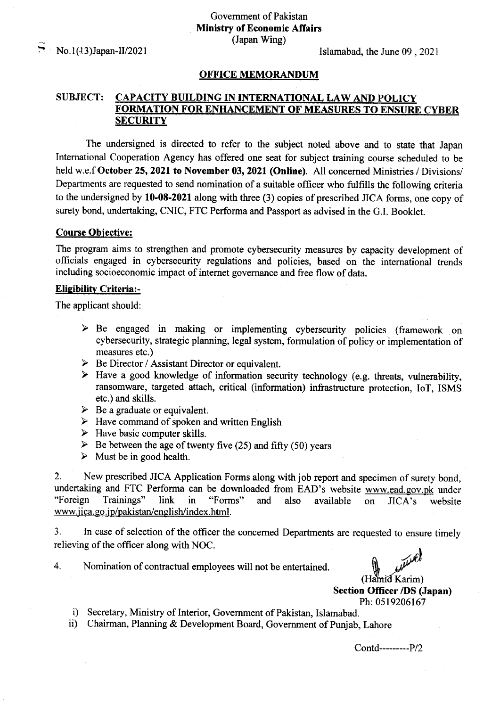: No.1(13)Japan-ll/2021

Islamabad, the June 09 ,2021

#### OFFICE MEMORANDUM

# SUBJECT: CAPACITY BUILDING IN INTERNATIONAL LAW AND POLICY FORMATION FOR ENHANCEMENT OF MEASURES TO ENSURE CYBER **SECURITY**

The undersigned is directed to refer to the subject noted above and to state that Japan International Cooperation Agency has offered one seat for subject training course scheduled to be held w.e.f October 25, 2021 to November 03, 2021 (Online). All concerned Ministries / Divisions/ Departments are requested to send nomination of a suitable officer who fulfills the following criteria to the undersigned by  $10-08-2021$  along with three (3) copies of prescribed JICA forms, one copy of surety bond, undertaking, CNIC, FTC Performa and Passport as advised in the G.I. Booklet.

### Course Obiective:

The program aims to strengthen and promote cybersecurity measures by capacity development of officials engaged in cybersecurity regulations and policies, based on the international trends including socioeconomic impact of intemet governance and free flow of data.

### **Eligibility Criteria:-**

The applicant should

- $\triangleright$  Be engaged in making or implementing cyberscurity policies (framework on cybersecurity, strategic planning, legal system, formulation of policy or implementation of measures etc.)<br>  $\triangleright$  Be Director / Assistant Director or equivalent.
- 
- $\triangleright$  Have a good knowledge of information security technology (e.g. threats, vulnerability, ransomware, targeted attach, critical (information) infrastructure protection, IoT, ISMS etc.) and skills.
- 
- $\geq$  Be a graduate or equivalent.<br>  $\geq$  Have command of spoken and written English
- 
- ▶ Have basic computer skills. **FACT** Debetween the age of twenty five (25) and fifty (50) years
- $\triangleright$  Must be in good health.

2. New prescribed JICA Application Forms along with job report and specimen of surety bond, undertaking and FTC Performa can be downloaded from EAD's website www.ead.gov.pk under "Foreign Trainings" link in "Forms" and also available on JICA's website www.jica.go.jp/pakistan/english/index.html.

3. In case of selection of the officer the concerned Departments are requested to ensure timely relieving of the officer along with NOC.

4. Nomination of contractual employees will not be entertained

aud (Hamid Karim) Section Officer /DS (Japan)

Ph: 0519206167<br>i) Secretary, Ministry of Interior, Government of Pakistan, Islamabad.<br>ii) Chairman, Planning & Development Board, Government of Punjab, Lahore

Contd-------P/2